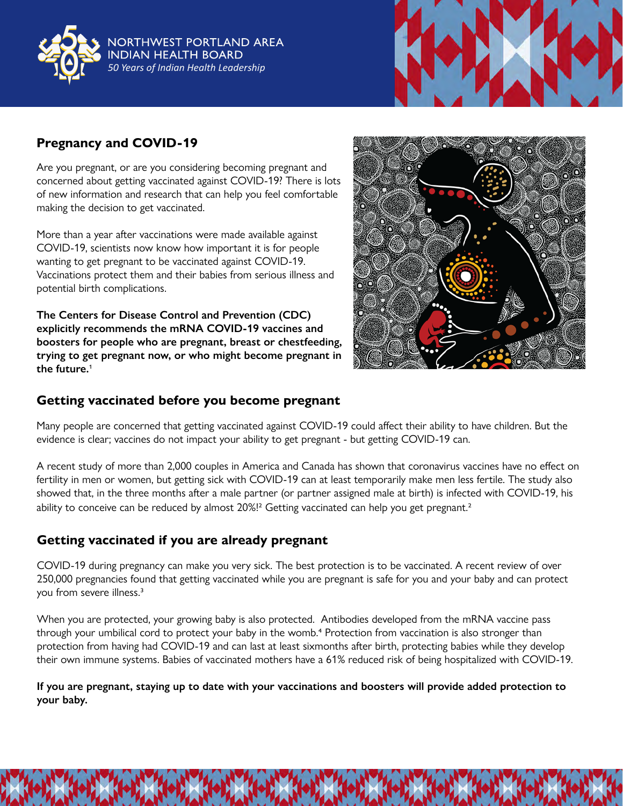

NORTHWEST PORTLAND AREA **INDIAN HEALTH BOARD** *50 Years of Indian Health Leadership*



## **Pregnancy and COVID-19**

Are you pregnant, or are you considering becoming pregnant and concerned about getting vaccinated against COVID-19? There is lots of new information and research that can help you feel comfortable making the decision to get vaccinated.

More than a year after vaccinations were made available against COVID-19, scientists now know how important it is for people wanting to get pregnant to be vaccinated against COVID-19. Vaccinations protect them and their babies from serious illness and potential birth complications.

**The Centers for Disease Control and Prevention (CDC) explicitly recommends the mRNA COVID-19 vaccines and boosters for people who are pregnant, breast or chestfeeding, trying to get pregnant now, or who might become pregnant in the future.**1



## **Getting vaccinated before you become pregnant**

Many people are concerned that getting vaccinated against COVID-19 could affect their ability to have children. But the evidence is clear; vaccines do not impact your ability to get pregnant - but getting COVID-19 can.

A recent study of more than 2,000 couples in America and Canada has shown that coronavirus vaccines have no effect on fertility in men or women, but getting sick with COVID-19 can at least temporarily make men less fertile. The study also showed that, in the three months after a male partner (or partner assigned male at birth) is infected with COVID-19, his ability to conceive can be reduced by almost 20%!<sup>2</sup> Getting vaccinated can help you get pregnant.<sup>2</sup>

## **Getting vaccinated if you are already pregnant**

COVID-19 during pregnancy can make you very sick. The best protection is to be vaccinated. A recent review of over 250,000 pregnancies found that getting vaccinated while you are pregnant is safe for you and your baby and can protect you from severe illness.3

When you are protected, your growing baby is also protected. Antibodies developed from the mRNA vaccine pass through your umbilical cord to protect your baby in the womb.<sup>4</sup> Protection from vaccination is also stronger than protection from having had COVID-19 and can last at least sixmonths after birth, protecting babies while they develop their own immune systems. Babies of vaccinated mothers have a 61% reduced risk of being hospitalized with COVID-19.

**If you are pregnant, staying up to date with your vaccinations and boosters will provide added protection to your baby.**